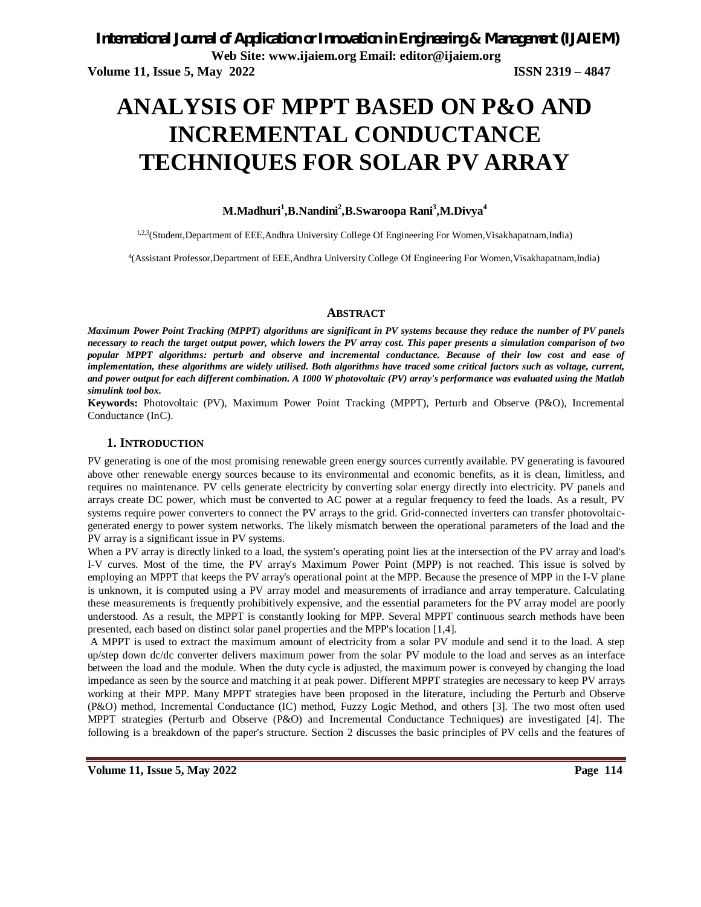# **ANALYSIS OF MPPT BASED ON P&O AND INCREMENTAL CONDUCTANCE TECHNIQUES FOR SOLAR PV ARRAY**

### **M.Madhuri<sup>1</sup> ,B.Nandini<sup>2</sup> ,B.Swaroopa Rani<sup>3</sup> ,M.Divya<sup>4</sup>**

1,2,3(Student,Department of EEE,Andhra University College Of Engineering For Women,Visakhapatnam,India)

4 (Assistant Professor,Department of EEE,Andhra University College Of Engineering For Women,Visakhapatnam,India)

#### **ABSTRACT**

*Maximum Power Point Tracking (MPPT) algorithms are significant in PV systems because they reduce the number of PV panels necessary to reach the target output power, which lowers the PV array cost. This paper presents a simulation comparison of two popular MPPT algorithms: perturb and observe and incremental conductance. Because of their low cost and ease of implementation, these algorithms are widely utilised. Both algorithms have traced some critical factors such as voltage, current, and power output for each different combination. A 1000 W photovoltaic (PV) array's performance was evaluated using the Matlab simulink tool box.*

**Keywords:** Photovoltaic (PV), Maximum Power Point Tracking (MPPT), Perturb and Observe (P&O), Incremental Conductance (InC).

#### **1. INTRODUCTION**

PV generating is one of the most promising renewable green energy sources currently available. PV generating is favoured above other renewable energy sources because to its environmental and economic benefits, as it is clean, limitless, and requires no maintenance. PV cells generate electricity by converting solar energy directly into electricity. PV panels and arrays create DC power, which must be converted to AC power at a regular frequency to feed the loads. As a result, PV systems require power converters to connect the PV arrays to the grid. Grid-connected inverters can transfer photovoltaicgenerated energy to power system networks. The likely mismatch between the operational parameters of the load and the PV array is a significant issue in PV systems.

When a PV array is directly linked to a load, the system's operating point lies at the intersection of the PV array and load's I-V curves. Most of the time, the PV array's Maximum Power Point (MPP) is not reached. This issue is solved by employing an MPPT that keeps the PV array's operational point at the MPP. Because the presence of MPP in the I-V plane is unknown, it is computed using a PV array model and measurements of irradiance and array temperature. Calculating these measurements is frequently prohibitively expensive, and the essential parameters for the PV array model are poorly understood. As a result, the MPPT is constantly looking for MPP. Several MPPT continuous search methods have been presented, each based on distinct solar panel properties and the MPP's location [1,4].

A MPPT is used to extract the maximum amount of electricity from a solar PV module and send it to the load. A step up/step down dc/dc converter delivers maximum power from the solar PV module to the load and serves as an interface between the load and the module. When the duty cycle is adjusted, the maximum power is conveyed by changing the load impedance as seen by the source and matching it at peak power. Different MPPT strategies are necessary to keep PV arrays working at their MPP. Many MPPT strategies have been proposed in the literature, including the Perturb and Observe (P&O) method, Incremental Conductance (IC) method, Fuzzy Logic Method, and others [3]. The two most often used MPPT strategies (Perturb and Observe (P&O) and Incremental Conductance Techniques) are investigated [4]. The following is a breakdown of the paper's structure. Section 2 discusses the basic principles of PV cells and the features of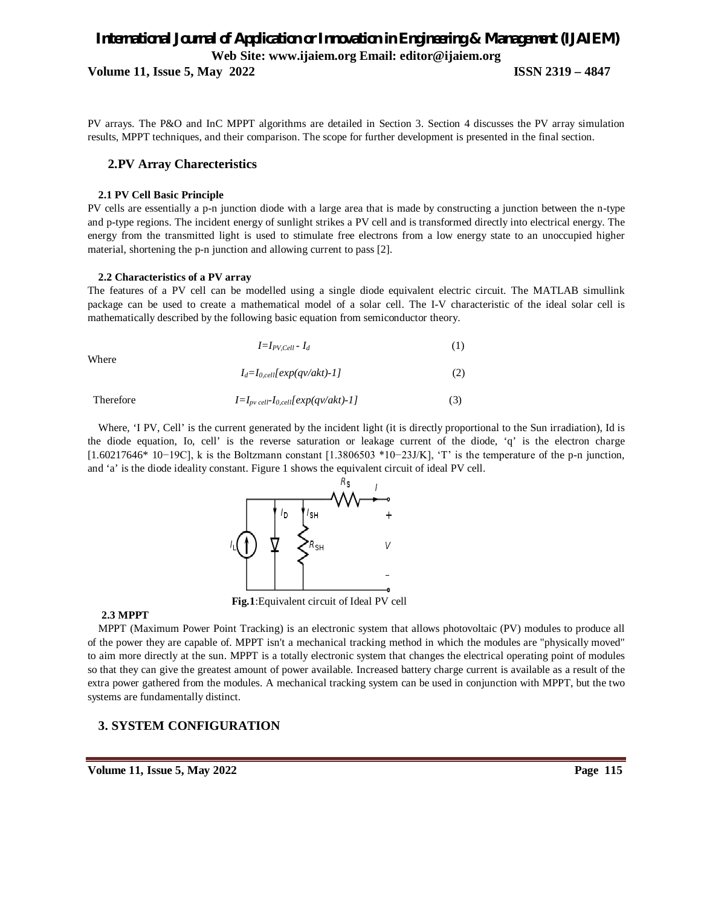**Volume 11, Issue 5, May 2022 ISSN 2319 – 4847**

PV arrays. The P&O and InC MPPT algorithms are detailed in Section 3. Section 4 discusses the PV array simulation results, MPPT techniques, and their comparison. The scope for further development is presented in the final section.

#### **2.PV Array Charecteristics**

#### **2.1 PV Cell Basic Principle**

PV cells are essentially a p-n junction diode with a large area that is made by constructing a junction between the n-type and p-type regions. The incident energy of sunlight strikes a PV cell and is transformed directly into electrical energy. The energy from the transmitted light is used to stimulate free electrons from a low energy state to an unoccupied higher material, shortening the p-n junction and allowing current to pass [2].

#### **2.2 Characteristics of a PV array**

The features of a PV cell can be modelled using a single diode equivalent electric circuit. The MATLAB simullink package can be used to create a mathematical model of a solar cell. The I-V characteristic of the ideal solar cell is mathematically described by the following basic equation from semiconductor theory.

| (1)<br>$I=I_{PV,Cell}$ - $I_d$ |  |
|--------------------------------|--|
|--------------------------------|--|

 $I_d = I_{0,cell} \left[ exp(qv/akt) - 1 \right]$  (2)

Where

| Therefore | $I=I_{pv}$ cell- $I_{0,cell}[exp(qv/akt)-1]$ |  |
|-----------|----------------------------------------------|--|
|           |                                              |  |

Where, 'I PV, Cell' is the current generated by the incident light (it is directly proportional to the Sun irradiation), Id is the diode equation, Io, cell' is the reverse saturation or leakage current of the diode, 'q' is the electron charge [1.60217646\* 10−19C], k is the Boltzmann constant [1.3806503 \*10−23J/K], 'T' is the temperature of the p-n junction, and 'a' is the diode ideality constant. Figure 1 shows the equivalent circuit of ideal PV cell.



 **Fig.1**:Equivalent circuit of Ideal PV cell

#### **2.3 MPPT**

MPPT (Maximum Power Point Tracking) is an electronic system that allows photovoltaic (PV) modules to produce all of the power they are capable of. MPPT isn't a mechanical tracking method in which the modules are "physically moved" to aim more directly at the sun. MPPT is a totally electronic system that changes the electrical operating point of modules so that they can give the greatest amount of power available. Increased battery charge current is available as a result of the extra power gathered from the modules. A mechanical tracking system can be used in conjunction with MPPT, but the two systems are fundamentally distinct.

## **3. SYSTEM CONFIGURATION**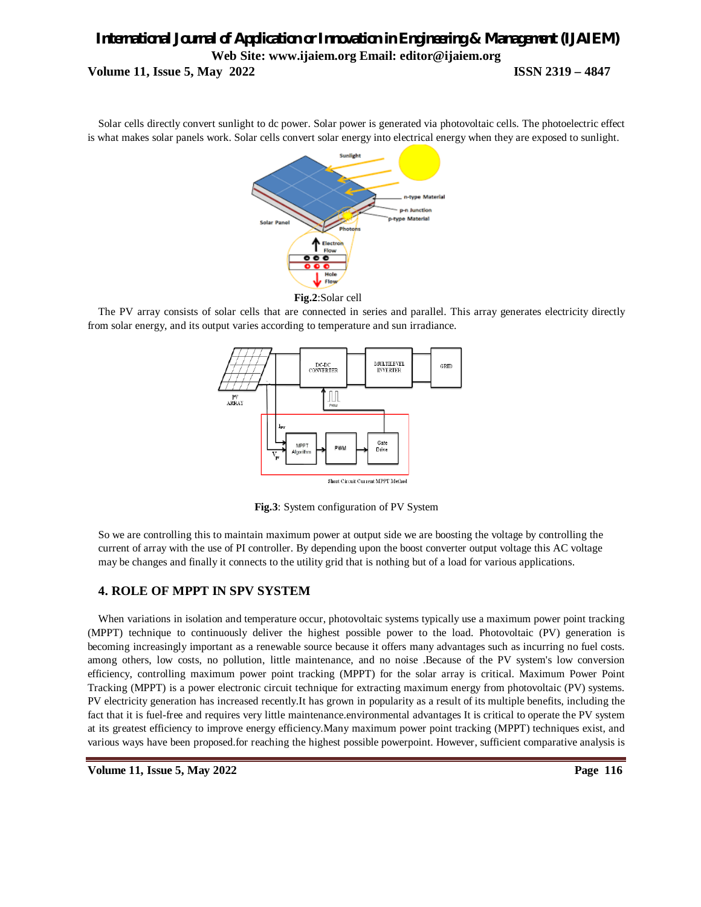Solar cells directly convert sunlight to dc power. Solar power is generated via photovoltaic cells. The photoelectric effect is what makes solar panels work. Solar cells convert solar energy into electrical energy when they are exposed to sunlight.



The PV array consists of solar cells that are connected in series and parallel. This array generates electricity directly from solar energy, and its output varies according to temperature and sun irradiance.



 **Fig.3**: System configuration of PV System

So we are controlling this to maintain maximum power at output side we are boosting the voltage by controlling the current of array with the use of PI controller. By depending upon the boost converter output voltage this AC voltage may be changes and finally it connects to the utility grid that is nothing but of a load for various applications.

### **4. ROLE OF MPPT IN SPV SYSTEM**

When variations in isolation and temperature occur, photovoltaic systems typically use a maximum power point tracking (MPPT) technique to continuously deliver the highest possible power to the load. Photovoltaic (PV) generation is becoming increasingly important as a renewable source because it offers many advantages such as incurring no fuel costs. among others, low costs, no pollution, little maintenance, and no noise .Because of the PV system's low conversion efficiency, controlling maximum power point tracking (MPPT) for the solar array is critical. Maximum Power Point Tracking (MPPT) is a power electronic circuit technique for extracting maximum energy from photovoltaic (PV) systems. PV electricity generation has increased recently.It has grown in popularity as a result of its multiple benefits, including the fact that it is fuel-free and requires very little maintenance.environmental advantages It is critical to operate the PV system at its greatest efficiency to improve energy efficiency.Many maximum power point tracking (MPPT) techniques exist, and various ways have been proposed.for reaching the highest possible powerpoint. However, sufficient comparative analysis is

**Volume 11, Issue 5, May 2022 Page 116**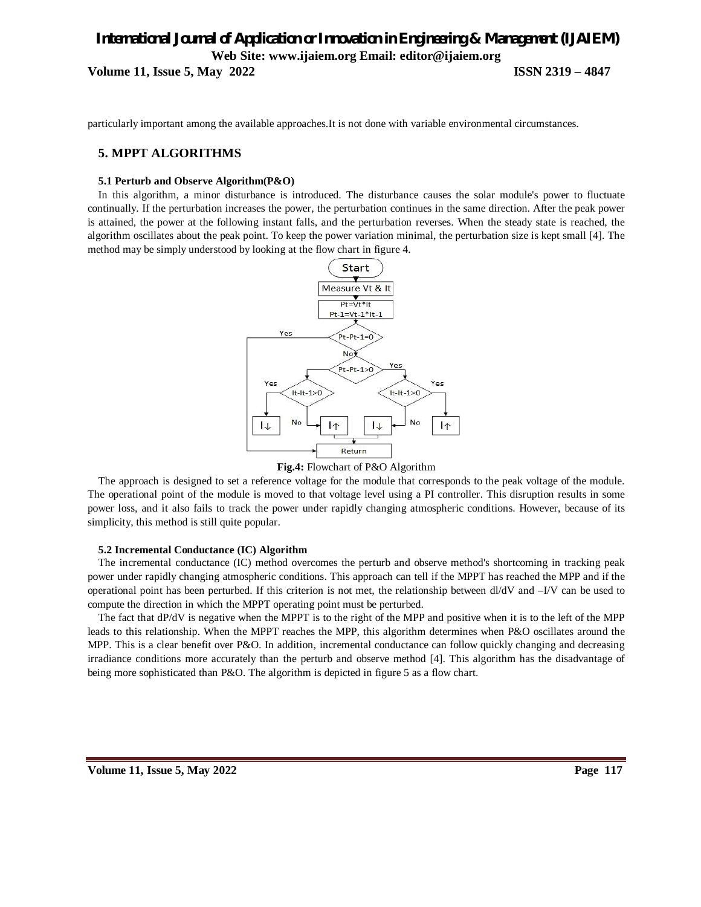**Volume 11, Issue 5, May 2022 ISSN 2319 – 4847**

particularly important among the available approaches.It is not done with variable environmental circumstances.

### **5. MPPT ALGORITHMS**

#### **5.1 Perturb and Observe Algorithm(P&O)**

In this algorithm, a minor disturbance is introduced. The disturbance causes the solar module's power to fluctuate continually. If the perturbation increases the power, the perturbation continues in the same direction. After the peak power is attained, the power at the following instant falls, and the perturbation reverses. When the steady state is reached, the algorithm oscillates about the peak point. To keep the power variation minimal, the perturbation size is kept small [4]. The method may be simply understood by looking at the flow chart in figure 4.



#### **Fig.4:** Flowchart of P&O Algorithm

The approach is designed to set a reference voltage for the module that corresponds to the peak voltage of the module. The operational point of the module is moved to that voltage level using a PI controller. This disruption results in some power loss, and it also fails to track the power under rapidly changing atmospheric conditions. However, because of its simplicity, this method is still quite popular.

#### **5.2 Incremental Conductance (IC) Algorithm**

The incremental conductance (IC) method overcomes the perturb and observe method's shortcoming in tracking peak power under rapidly changing atmospheric conditions. This approach can tell if the MPPT has reached the MPP and if the operational point has been perturbed. If this criterion is not met, the relationship between dl/dV and –I/V can be used to compute the direction in which the MPPT operating point must be perturbed.

The fact that dP/dV is negative when the MPPT is to the right of the MPP and positive when it is to the left of the MPP leads to this relationship. When the MPPT reaches the MPP, this algorithm determines when P&O oscillates around the MPP. This is a clear benefit over P&O. In addition, incremental conductance can follow quickly changing and decreasing irradiance conditions more accurately than the perturb and observe method [4]. This algorithm has the disadvantage of being more sophisticated than P&O. The algorithm is depicted in figure 5 as a flow chart.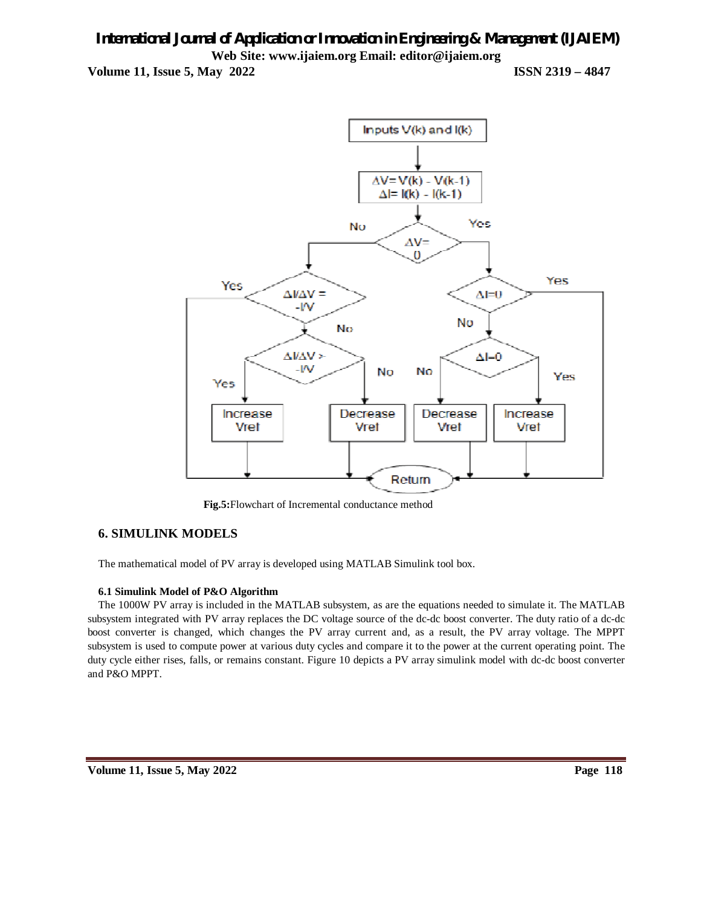**Volume 11, Issue 5, May 2022 ISSN 2319 – 4847**



 **Fig.5:**Flowchart of Incremental conductance method

## **6. SIMULINK MODELS**

The mathematical model of PV array is developed using MATLAB Simulink tool box.

#### **6.1 Simulink Model of P&O Algorithm**

The 1000W PV array is included in the MATLAB subsystem, as are the equations needed to simulate it. The MATLAB subsystem integrated with PV array replaces the DC voltage source of the dc-dc boost converter. The duty ratio of a dc-dc boost converter is changed, which changes the PV array current and, as a result, the PV array voltage. The MPPT subsystem is used to compute power at various duty cycles and compare it to the power at the current operating point. The duty cycle either rises, falls, or remains constant. Figure 10 depicts a PV array simulink model with dc-dc boost converter and P&O MPPT.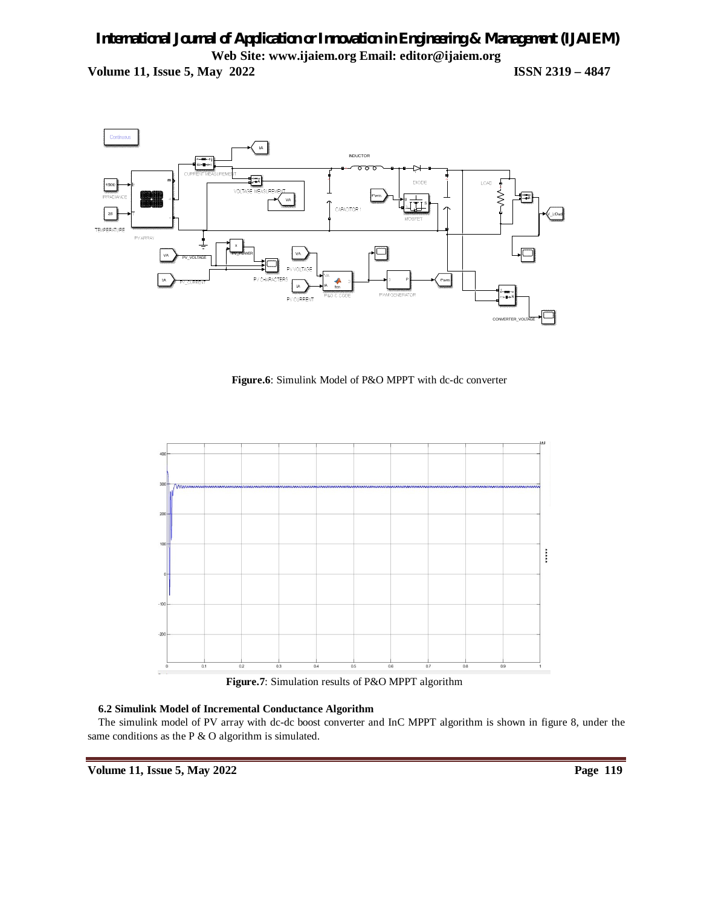

**Figure.6**: Simulink Model of P&O MPPT with dc-dc converter



 **Figure.7**: Simulation results of P&O MPPT algorithm

### **6.2 Simulink Model of Incremental Conductance Algorithm**

The simulink model of PV array with dc-dc boost converter and InC MPPT algorithm is shown in figure 8, under the same conditions as the P & O algorithm is simulated.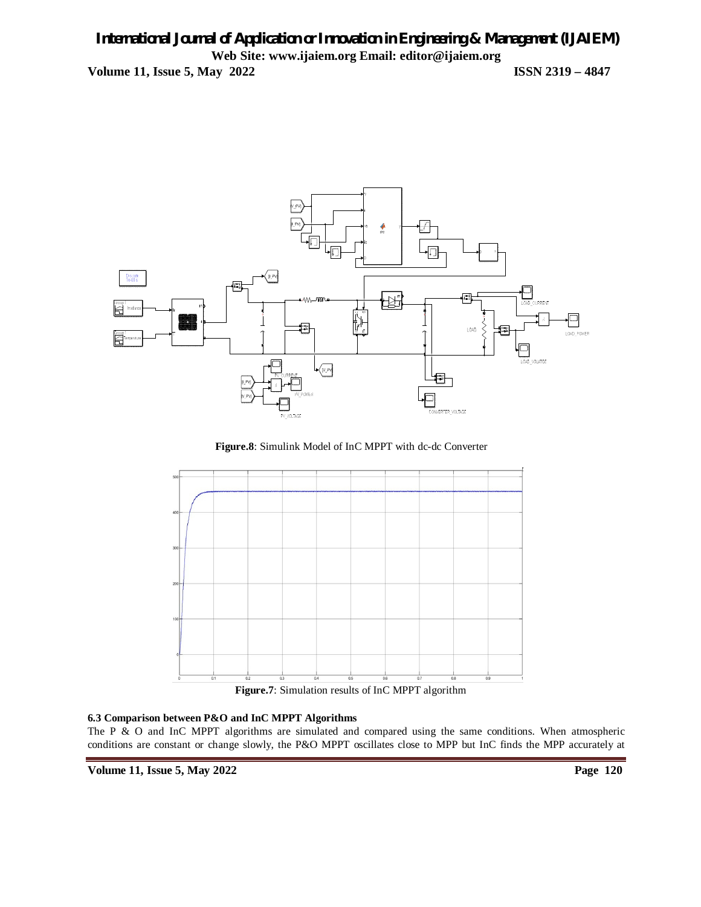

**Figure.8**: Simulink Model of InC MPPT with dc-dc Converter



**Figure.7**: Simulation results of InC MPPT algorithm

### **6.3 Comparison between P&O and InC MPPT Algorithms**

The P & O and InC MPPT algorithms are simulated and compared using the same conditions. When atmospheric conditions are constant or change slowly, the P&O MPPT oscillates close to MPP but InC finds the MPP accurately at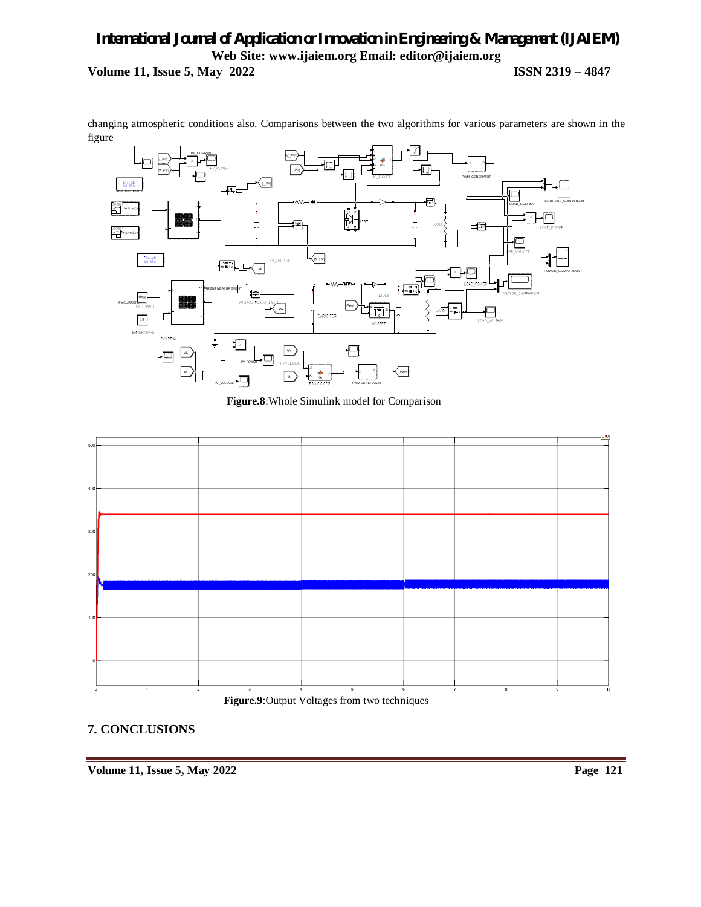changing atmospheric conditions also. Comparisons between the two algorithms for various parameters are shown in the figure



 **Figure.8**:Whole Simulink model for Comparison





## **7. CONCLUSIONS**

**Volume 11, Issue 5, May 2022** Page 121